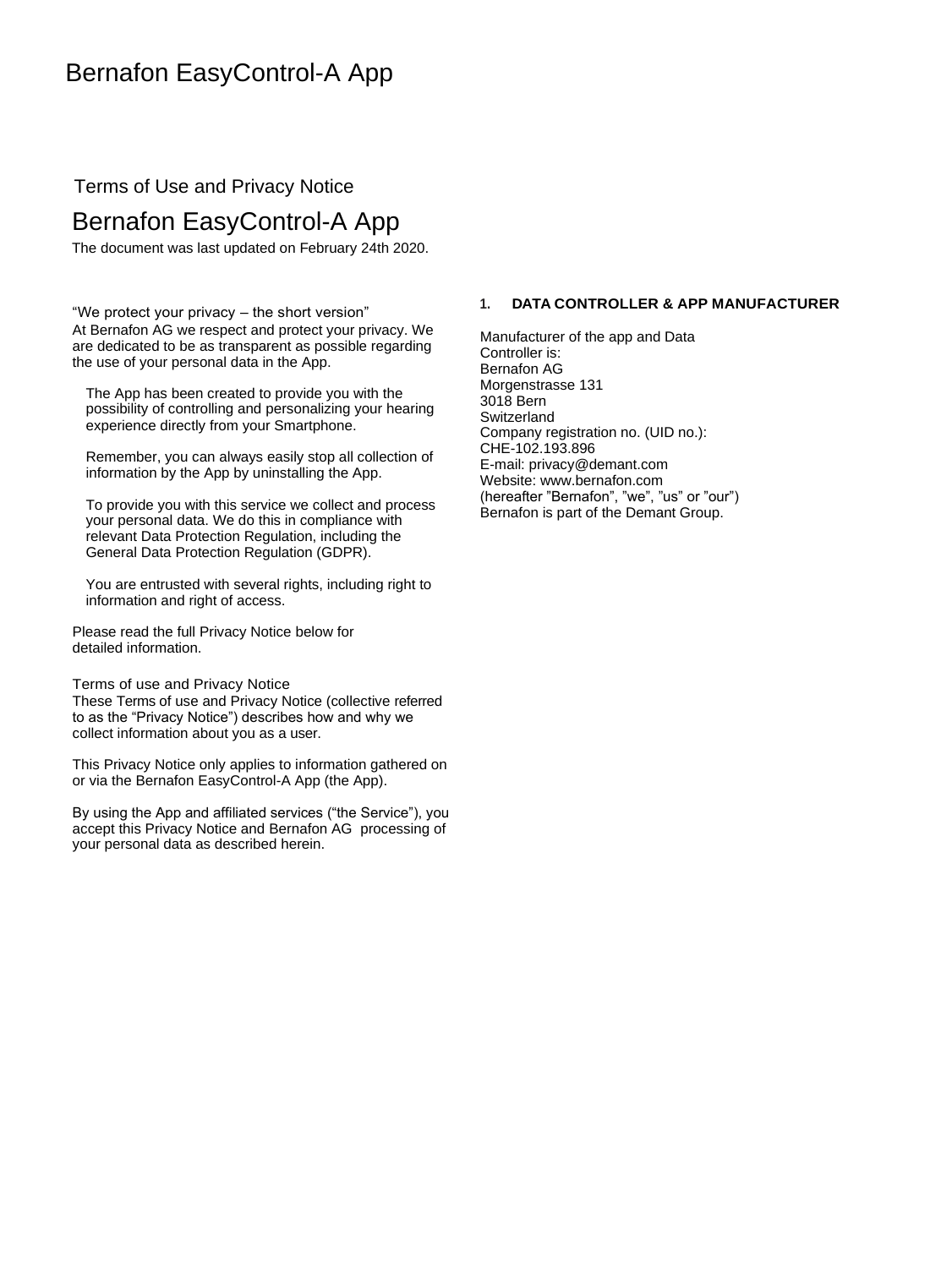# Terms of Use and Privacy Notice

# Bernafon EasyControl-A App

The document was last updated on February 24th 2020.

"We protect your privacy – the short version" At Bernafon AG we respect and protect your privacy. We are dedicated to be as transparent as possible regarding the use of your personal data in the App.

The App has been created to provide you with the possibility of controlling and personalizing your hearing experience directly from your Smartphone.

Remember, you can always easily stop all collection of information by the App by uninstalling the App.

To provide you with this service we collect and process your personal data. We do this in compliance with relevant Data Protection Regulation, including the General Data Protection Regulation (GDPR).

You are entrusted with several rights, including right to information and right of access.

Please read the full Privacy Notice below for detailed information.

Terms of use and Privacy Notice These Terms of use and Privacy Notice (collective referred to as the "Privacy Notice") describes how and why we collect information about you as a user.

This Privacy Notice only applies to information gathered on or via the Bernafon EasyControl-A App (the App).

By using the App and affiliated services ("the Service"), you accept this Privacy Notice and Bernafon AG processing of your personal data as described herein.

# **1. DATA CONTROLLER & APP MANUFACTURER**

Manufacturer of the app and Data Controller is: Bernafon AG Morgenstrasse 131 3018 Bern **Switzerland** Company registration no. (UID no.): CHE-102.193.896 E-mail: privacy@demant.com Website: www.bernafon.com (hereafter "Bernafon", "we", "us" or "our") Bernafon is part of the Demant Group.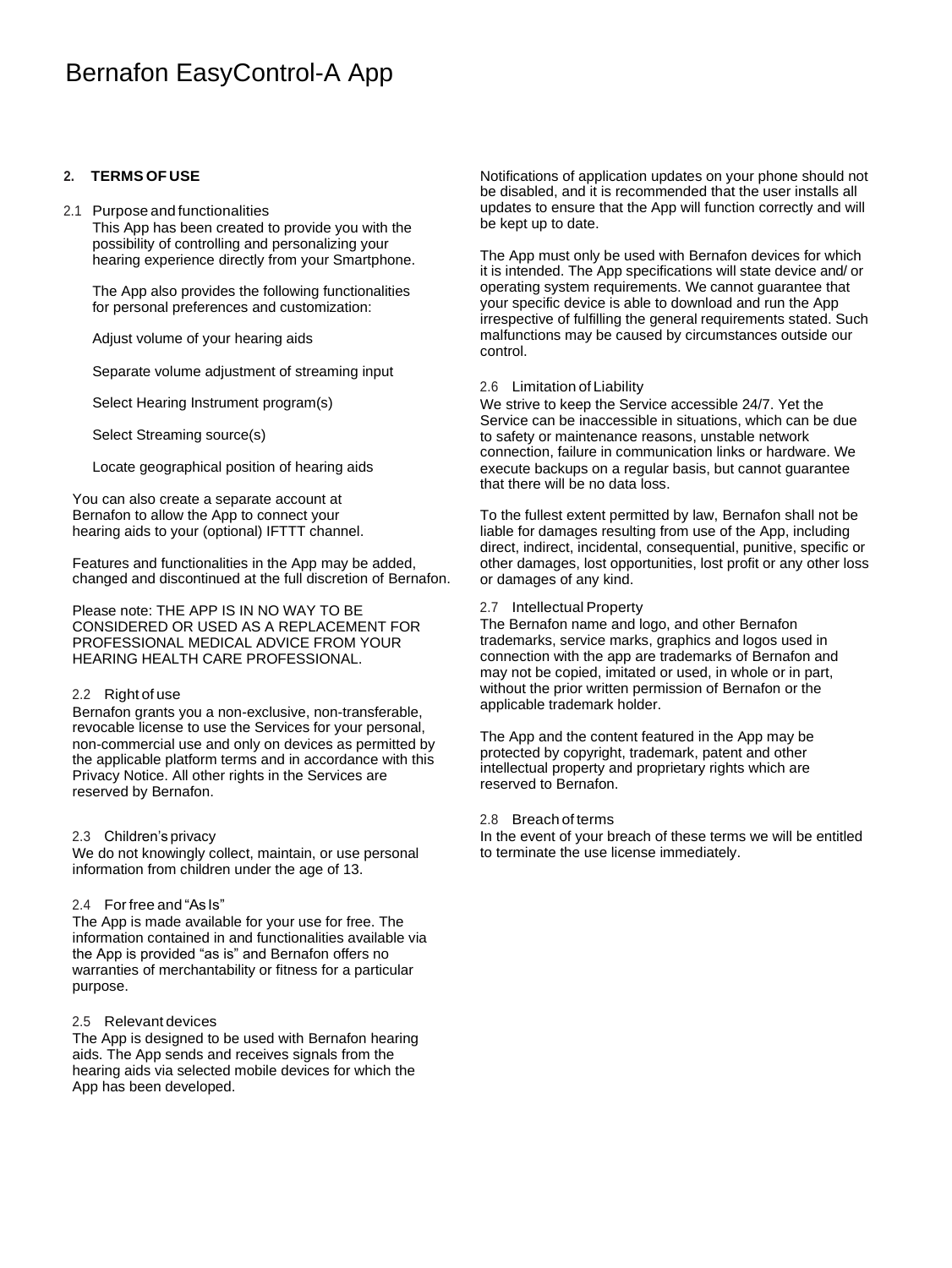# **2. TERMS OF USE**

#### 2.1 Purpose and functionalities This App has been created to provide you with the possibility of controlling and personalizing your hearing experience directly from your Smartphone.

The App also provides the following functionalities for personal preferences and customization:

Adjust volume of your hearing aids

Separate volume adjustment of streaming input

Select Hearing Instrument program(s)

Select Streaming source(s)

Locate geographical position of hearing aids

You can also create a separate account at Bernafon to allow the App to connect your hearing aids to your (optional) IFTTT channel.

Features and functionalities in the App may be added, changed and discontinued at the full discretion of Bernafon.

Please note: THE APP IS IN NO WAY TO BE CONSIDERED OR USED AS A REPLACEMENT FOR PROFESSIONAL MEDICAL ADVICE FROM YOUR HEARING HEALTH CARE PROFESSIONAL.

# 2.2 Right of use

Bernafon grants you a non-exclusive, non-transferable, revocable license to use the Services for your personal, non-commercial use and only on devices as permitted by the applicable platform terms and in accordance with this Privacy Notice. All other rights in the Services are reserved by Bernafon.

#### 2.3 Children's privacy

We do not knowingly collect, maintain, or use personal information from children under the age of 13.

# 2.4 Forfree and "As Is"

The App is made available for your use for free. The information contained in and functionalities available via the App is provided "as is" and Bernafon offers no warranties of merchantability or fitness for a particular purpose.

#### 2.5 Relevant devices

The App is designed to be used with Bernafon hearing aids. The App sends and receives signals from the hearing aids via selected mobile devices for which the App has been developed.

Notifications of application updates on your phone should not be disabled, and it is recommended that the user installs all updates to ensure that the App will function correctly and will be kept up to date.

The App must only be used with Bernafon devices for which it is intended. The App specifications will state device and/ or operating system requirements. We cannot guarantee that your specific device is able to download and run the App irrespective of fulfilling the general requirements stated. Such malfunctions may be caused by circumstances outside our control.

### 2.6 Limitation of Liability

We strive to keep the Service accessible 24/7. Yet the Service can be inaccessible in situations, which can be due to safety or maintenance reasons, unstable network connection, failure in communication links or hardware. We execute backups on a regular basis, but cannot guarantee that there will be no data loss.

To the fullest extent permitted by law, Bernafon shall not be liable for damages resulting from use of the App, including direct, indirect, incidental, consequential, punitive, specific or other damages, lost opportunities, lost profit or any other loss or damages of any kind.

### 2.7 Intellectual Property

The Bernafon name and logo, and other Bernafon trademarks, service marks, graphics and logos used in connection with the app are trademarks of Bernafon and may not be copied, imitated or used, in whole or in part, without the prior written permission of Bernafon or the applicable trademark holder.

The App and the content featured in the App may be protected by copyright, trademark, patent and other intellectual property and proprietary rights which are reserved to Bernafon.

#### 2.8 Breach of terms

In the event of your breach of these terms we will be entitled to terminate the use license immediately.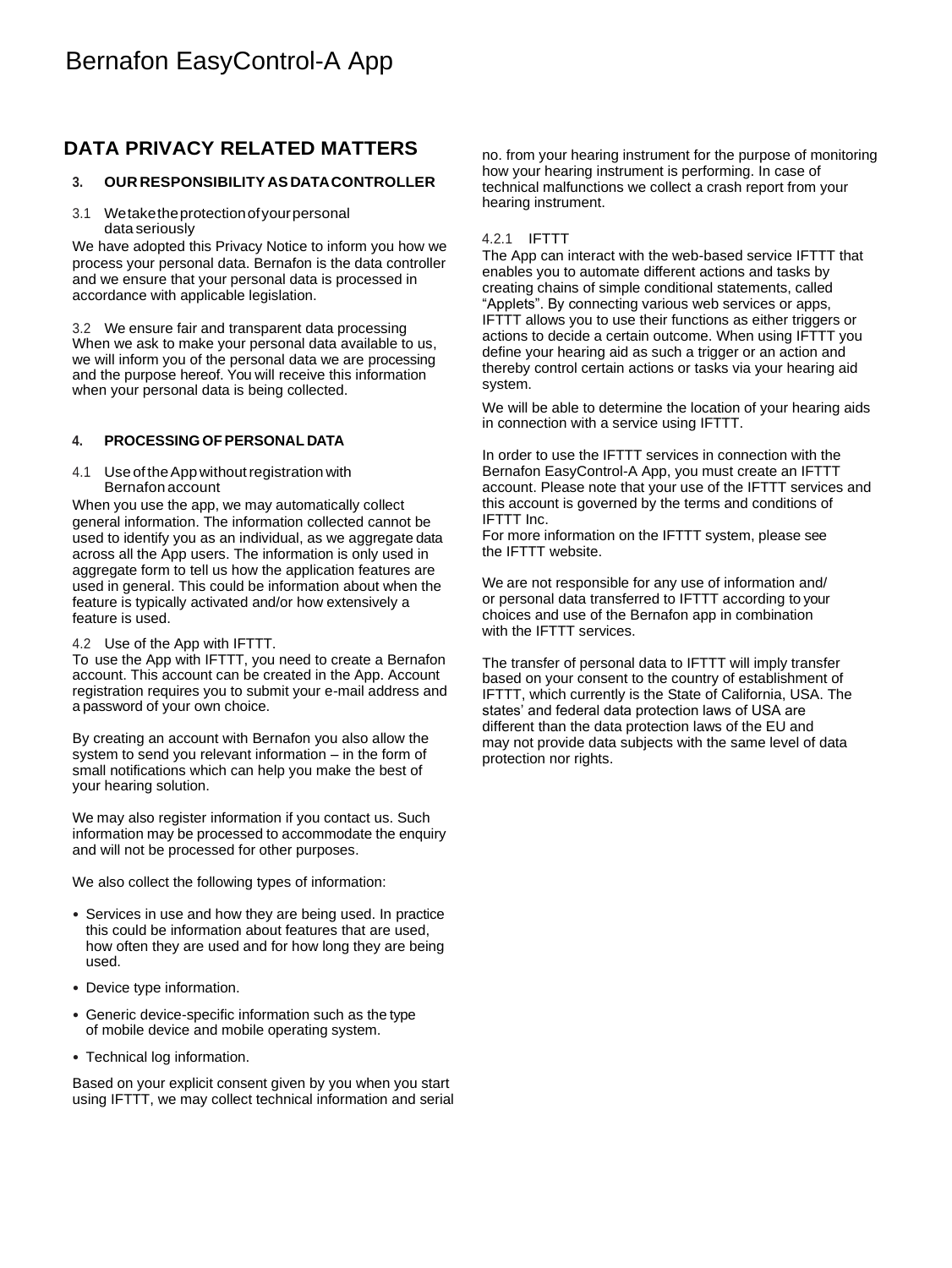# **DATA PRIVACY RELATED MATTERS**

# **3. OUR RESPONSIBILITY AS DATACONTROLLER**

3.1 Wetaketheprotectionofyourpersonal data seriously

We have adopted this Privacy Notice to inform you how we process your personal data. Bernafon is the data controller and we ensure that your personal data is processed in accordance with applicable legislation.

3.2 We ensure fair and transparent data processing When we ask to make your personal data available to us, we will inform you of the personal data we are processing and the purpose hereof. You will receive this information when your personal data is being collected.

# **4. PROCESSING OFPERSONAL DATA**

4.1 Use of the App without registration with Bernafon account

When you use the app, we may automatically collect general information. The information collected cannot be used to identify you as an individual, as we aggregate data across all the App users. The information is only used in aggregate form to tell us how the application features are used in general. This could be information about when the feature is typically activated and/or how extensively a feature is used.

#### 4.2 Use of the App with IFTTT.

To use the App with IFTTT, you need to create a Bernafon account. This account can be created in the App. Account registration requires you to submit your e-mail address and a password of your own choice.

By creating an account with Bernafon you also allow the system to send you relevant information – in the form of small notifications which can help you make the best of your hearing solution.

We may also register information if you contact us. Such information may be processed to accommodate the enquiry and will not be processed for other purposes.

We also collect the following types of information:

- Services in use and how they are being used. In practice this could be information about features that are used, how often they are used and for how long they are being used.
- Device type information.
- Generic device-specific information such as the type of mobile device and mobile operating system.
- Technical log information.

Based on your explicit consent given by you when you start using IFTTT, we may collect technical information and serial no. from your hearing instrument for the purpose of monitoring how your hearing instrument is performing. In case of technical malfunctions we collect a crash report from your hearing instrument.

### 4.2.1 IFTTT

The App can interact with the web-based service IFTTT that enables you to automate different actions and tasks by creating chains of simple conditional statements, called "Applets". By connecting various web services or apps, IFTTT allows you to use their functions as either triggers or actions to decide a certain outcome. When using IFTTT you define your hearing aid as such a trigger or an action and thereby control certain actions or tasks via your hearing aid system.

We will be able to determine the location of your hearing aids in connection with a service using IFTTT.

In order to use the IFTTT services in connection with the Bernafon EasyControl-A App, you must create an IFTTT account. Please note that your use of the IFTTT services and this account is governed by the terms and conditions of IFTTT Inc.

For more information on the IFTTT system, please see the IFTTT website.

We are not responsible for any use of information and/ or personal data transferred to IFTTT according to your choices and use of the Bernafon app in combination with the IFTTT services.

The transfer of personal data to IFTTT will imply transfer based on your consent to the country of establishment of IFTTT, which currently is the State of California, USA. The states' and federal data protection laws of USA are different than the data protection laws of the EU and may not provide data subjects with the same level of data protection nor rights.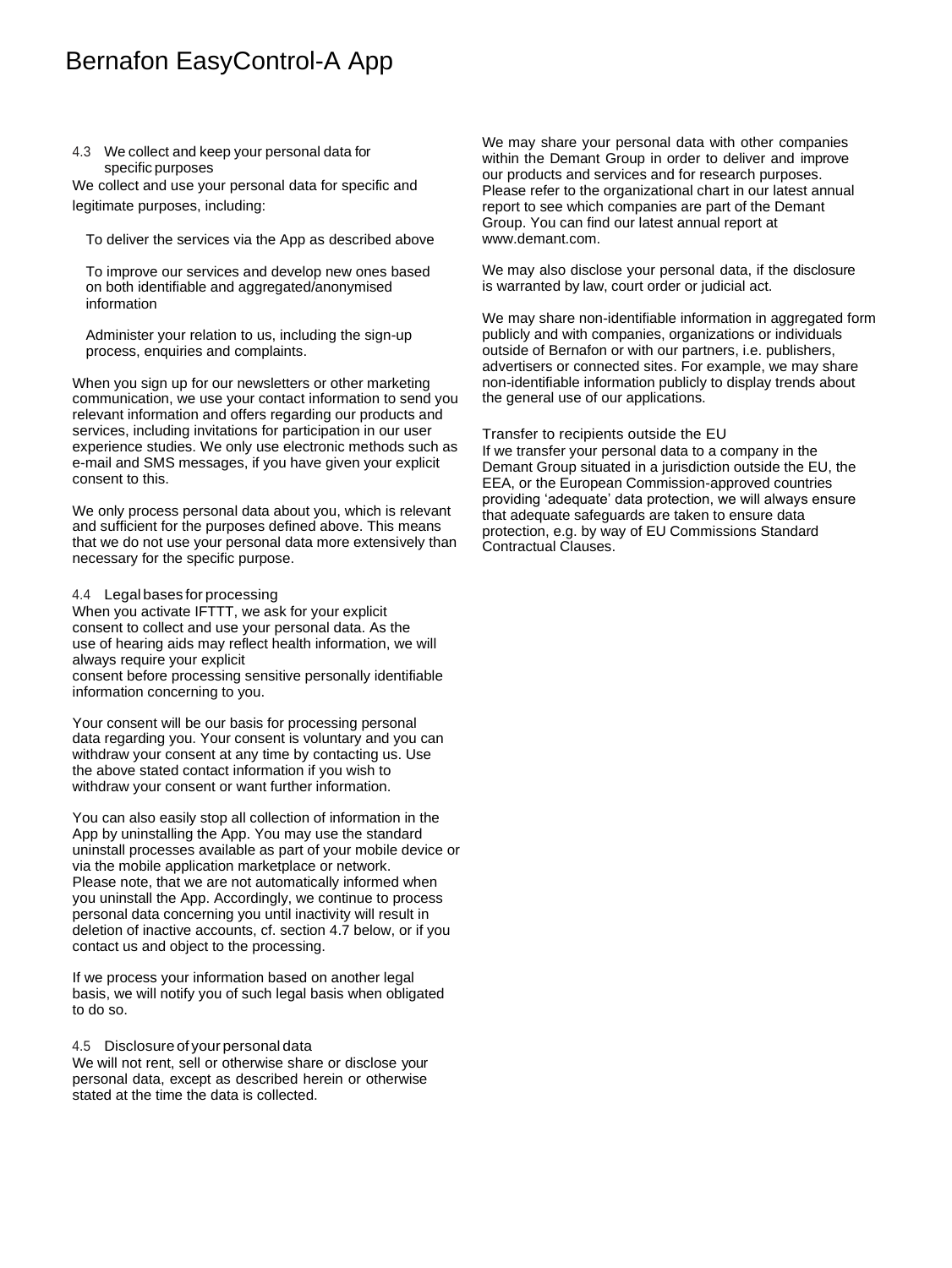#### 4.3 We collect and keep your personal data for specific purposes

We collect and use your personal data for specific and legitimate purposes, including:

To deliver the services via the App as described above

To improve our services and develop new ones based on both identifiable and aggregated/anonymised information

Administer your relation to us, including the sign-up process, enquiries and complaints.

When you sign up for our newsletters or other marketing communication, we use your contact information to send you relevant information and offers regarding our products and services, including invitations for participation in our user experience studies. We only use electronic methods such as e-mail and SMS messages, if you have given your explicit consent to this.

We only process personal data about you, which is relevant and sufficient for the purposes defined above. This means that we do not use your personal data more extensively than necessary for the specific purpose.

#### 4.4 Legal bases for processing

When you activate IFTTT, we ask for your explicit consent to collect and use your personal data. As the use of hearing aids may reflect health information, we will always require your explicit consent before processing sensitive personally identifiable information concerning to you.

Your consent will be our basis for processing personal data regarding you. Your consent is voluntary and you can withdraw your consent at any time by contacting us. Use the above stated contact information if you wish to withdraw your consent or want further information.

You can also easily stop all collection of information in the App by uninstalling the App. You may use the standard uninstall processes available as part of your mobile device or via the mobile application marketplace or network. Please note, that we are not automatically informed when you uninstall the App. Accordingly, we continue to process personal data concerning you until inactivity will result in deletion of inactive accounts, cf. section 4.7 below, or if you contact us and object to the processing.

If we process your information based on another legal basis, we will notify you of such legal basis when obligated to do so.

4.5 Disclosure of your personal data

We will not rent, sell or otherwise share or disclose your personal data, except as described herein or otherwise stated at the time the data is collected.

We may share your personal data with other companies within the Demant Group in order to deliver and improve our products and services and for research purposes. Please refer to the organizational chart in our latest annual report to see which companies are part of the Demant Group. You can find our latest annual report at [www.demant.com.](http://www.demant.com/)

We may also disclose your personal data, if the disclosure is warranted by law, court order or judicial act.

We may share non-identifiable information in aggregated form publicly and with companies, organizations or individuals outside of Bernafon or with our partners, i.e. publishers, advertisers or connected sites. For example, we may share non-identifiable information publicly to display trends about the general use of our applications.

Transfer to recipients outside the EU

If we transfer your personal data to a company in the Demant Group situated in a jurisdiction outside the EU, the EEA, or the European Commission-approved countries providing 'adequate' data protection, we will always ensure that adequate safeguards are taken to ensure data protection, e.g. by way of EU Commissions Standard Contractual Clauses.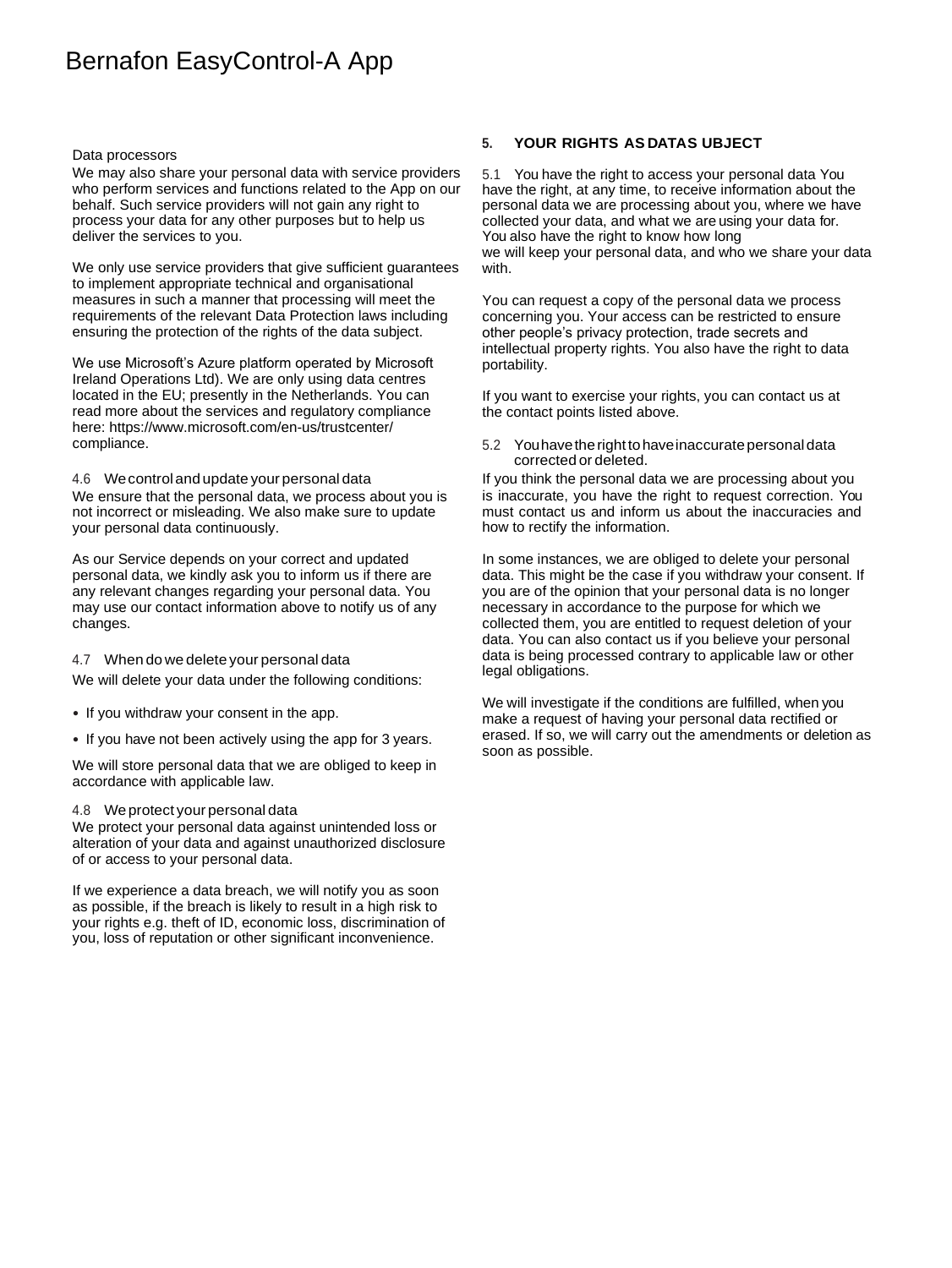#### Data processors

We may also share your personal data with service providers who perform services and functions related to the App on our behalf. Such service providers will not gain any right to process your data for any other purposes but to help us deliver the services to you.

We only use service providers that give sufficient guarantees to implement appropriate technical and organisational measures in such a manner that processing will meet the requirements of the relevant Data Protection laws including ensuring the protection of the rights of the data subject.

We use Microsoft's Azure platform operated by Microsoft Ireland Operations Ltd). We are only using data centres located in the EU; presently in the Netherlands. You can read more about the services and regulatory compliance here: [https://www.](http://www.microsoft.com/en-us/trustcenter/)mic[rosoft.com/en-us/trustcenter/](http://www.microsoft.com/en-us/trustcenter/) compliance.

#### 4.6 Wecontrol and update your personal data

We ensure that the personal data, we process about you is not incorrect or misleading. We also make sure to update your personal data continuously.

As our Service depends on your correct and updated personal data, we kindly ask you to inform us if there are any relevant changes regarding your personal data. You may use our contact information above to notify us of any changes.

#### 4.7 When do we delete your personal data

We will delete your data under the following conditions:

- If you withdraw your consent in the app.
- If you have not been actively using the app for 3 years.

We will store personal data that we are obliged to keep in accordance with applicable law.

#### 4.8 We protect your personal data

We protect your personal data against unintended loss or alteration of your data and against unauthorized disclosure of or access to your personal data.

If we experience a data breach, we will notify you as soon as possible, if the breach is likely to result in a high risk to your rights e.g. theft of ID, economic loss, discrimination of you, loss of reputation or other significant inconvenience.

### **5. YOUR RIGHTS AS DATAS UBJECT**

5.1 You have the right to access your personal data You have the right, at any time, to receive information about the personal data we are processing about you, where we have collected your data, and what we are using your data for. You also have the right to know how long we will keep your personal data, and who we share your data with.

You can request a copy of the personal data we process concerning you. Your access can be restricted to ensure other people's privacy protection, trade secrets and intellectual property rights. You also have the right to data portability.

If you want to exercise your rights, you can contact us at the contact points listed above.

5.2 Youhavetherighttohaveinaccuratepersonaldata corrected or deleted.

If you think the personal data we are processing about you is inaccurate, you have the right to request correction. You must contact us and inform us about the inaccuracies and how to rectify the information.

In some instances, we are obliged to delete your personal data. This might be the case if you withdraw your consent. If you are of the opinion that your personal data is no longer necessary in accordance to the purpose for which we collected them, you are entitled to request deletion of your data. You can also contact us if you believe your personal data is being processed contrary to applicable law or other legal obligations.

We will investigate if the conditions are fulfilled, when you make a request of having your personal data rectified or erased. If so, we will carry out the amendments or deletion as soon as possible.